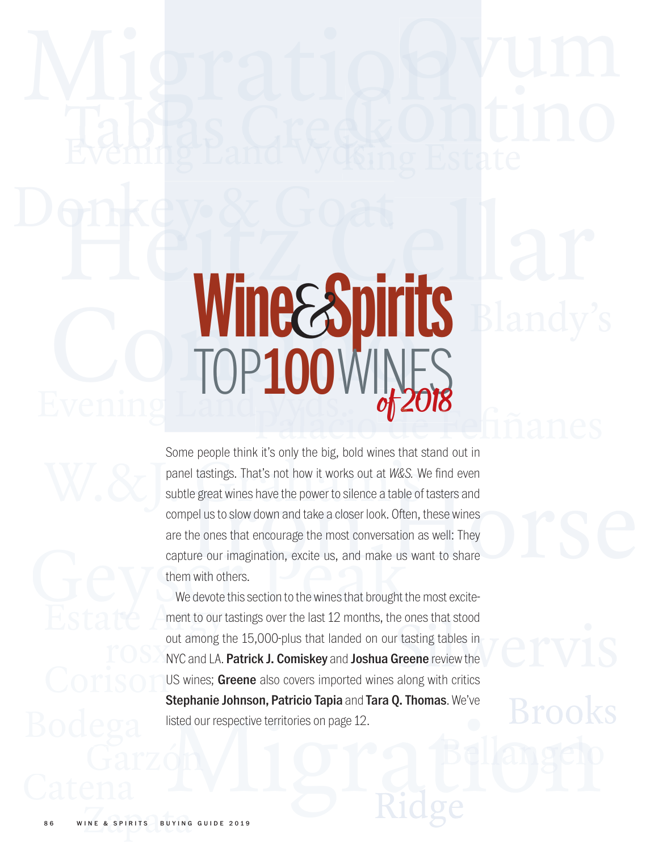# Evening Land Vyds. WITHESS UIT Phkey & Goat<br>Hey Koost ellar Wine Spirits Blandy

subtle great wines have the power to silence a table of tasters and<br>compel us to slow down and take a closer look. Often, these wines<br>are the ones that encourage the most conversation as well: They<br>capture our imagination, Event Controller (Market Blandy's Some people think it's only the big, bold wines that stand out in<br>Some people think it's only the big, bold wines that stand out in<br>panel tastings. That's not how it works out at W&S. We f Tables Creek Silver and the Control of the Case of the Case of the Case of the Case of the Case of the Case of the Case of the Case of the Case of the Case of the Case of the Case of the Case of the Case of the Case of the capture our imagination, excite us, and make us want to share<br>them with others.<br>We devote this section to the wines that brought the most excite-<br>mont to our totings over the lost 12 months, the ones that stood bome people annual to only the sig, sold while that a panel tastings. That's not how it works out at W&S. V subtle great wines have the power to silence a table of compel us to slow down and take a closer look. Often, are Some people think it's only the big, bold wines that stand out in panel tastings. That's not how it works out at W&S. We find even subtle great wines have the power to silence a table of tasters and compel us to slow down and take a closer look. Often, these wines are the ones that encourage the most conversation as well: They them with others.

Migration Corison Bodega <sup>listed</sup><sup>ou</sup><br>Garzón Estate Ament to our ta rosx<sup>ou</sup> We devote this section to the wines that brought the most excitement to our tastings over the last 12 months, the ones that stood out among the 15,000-plus that landed on our tasting tables in NYC and LA. Patrick J. Comiskey and Joshua Greene review the US wines; Greene also covers imported wines along with critics Stephanie Johnson, Patricio Tapia and Tara Q. Thomas. We've listed our respective territories on page 12.

Ridge

Brooks

INE & SPIRITS BUYING 86 WINE & SPIRITS BUYING GUIDE 2019